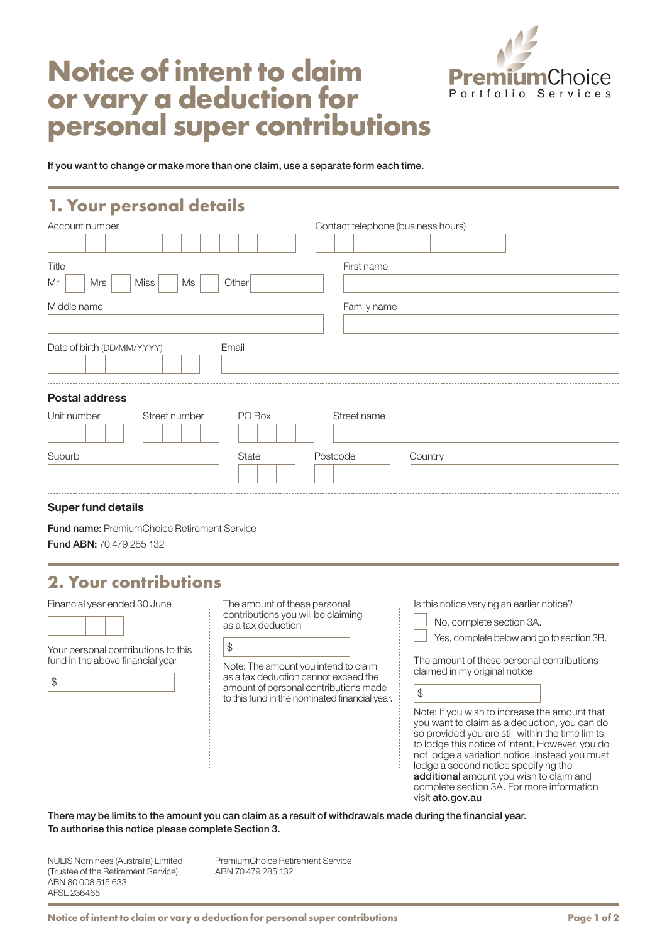

# **Notice of intent to claim or vary a deduction for personal super contributions**

If you want to change or make more than one claim, use a separate form each time.

#### **1. Your personal details**

| Account number                          | Contact telephone (business hours) |  |  |
|-----------------------------------------|------------------------------------|--|--|
|                                         |                                    |  |  |
| Title                                   | First name                         |  |  |
| Mrs<br><b>Miss</b><br>Other<br>Mr<br>Ms |                                    |  |  |
| Middle name<br>Family name              |                                    |  |  |
|                                         |                                    |  |  |
| Date of birth (DD/MM/YYYY)<br>Email     |                                    |  |  |
|                                         |                                    |  |  |
| <b>Postal address</b>                   |                                    |  |  |
| PO Box<br>Unit number<br>Street number  | Street name                        |  |  |
|                                         |                                    |  |  |
| Suburb<br><b>State</b>                  | Postcode<br>Country                |  |  |

#### Super fund details

Fund name: PremiumChoice Retirement Service Fund ABN: 70 479 285 132

### **2. Your contributions**

Financial year ended 30 June

| -- |  |
|----|--|
|    |  |
|    |  |
|    |  |
|    |  |
|    |  |

Your personal contributions to this fund in the above financial year

| ٦<br>ш<br>×          |
|----------------------|
| c<br>I               |
| ۰.<br>×<br>۰.<br>. . |

The amount of these personal contributions you will be claiming as a tax deduction  $\Box$ 

| ۰, |  |
|----|--|
|    |  |

Note: The amount you intend to claim as a tax deduction cannot exceed the amount of personal contributions made to this fund in the nominated financial year.

| Is this notice varying an earlier notice? |  |  |  |  |  |  |
|-------------------------------------------|--|--|--|--|--|--|
|-------------------------------------------|--|--|--|--|--|--|

No, complete section 3A.

|  |  | Yes, complete below and go to section 3B. |
|--|--|-------------------------------------------|
|  |  |                                           |

The amount of these personal contributions claimed in my original notice

\$

Note: If you wish to increase the amount that you want to claim as a deduction, you can do so provided you are still within the time limits to lodge this notice of intent. However, you do not lodge a variation notice. Instead you must lodge a second notice specifying the additional amount you wish to claim and complete section 3A. For more information visit ato.gov.au

There may be limits to the amount you can claim as a result of withdrawals made during the financial year. To authorise this notice please complete Section 3.

NULIS Nominees (Australia) Limited (Trustee of the Retirement Service) ABN 80 008 515 633 AFSL 236465

PremiumChoice Retirement Service ABN 70 479 285 132